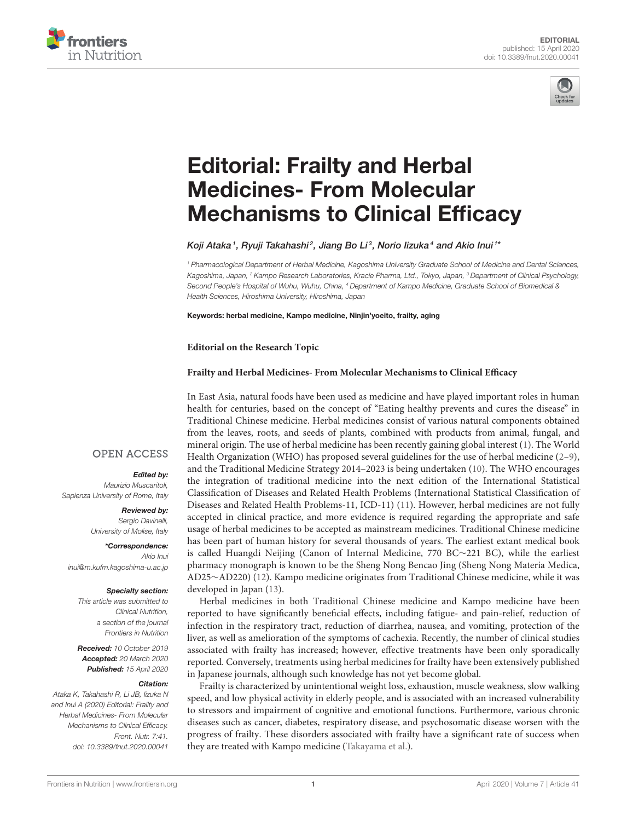



# Editorial: Frailty and Herbal Medicines- From Molecular [Mechanisms to Clinical Efficacy](https://www.frontiersin.org/articles/10.3389/fnut.2020.00041/full)

[Koji Ataka](http://loop.frontiersin.org/people/472534/overview) $^{\textrm{\textit{1}}},$  [Ryuji Takahashi](http://loop.frontiersin.org/people/475229/overview) $^{\textrm{\textit{2}}}$ , [Jiang Bo Li](http://loop.frontiersin.org/people/474978/overview) $^{\textrm{\textit{3}}}$ , Norio lizuka $^{\textrm{\textit{4}}}$  and [Akio Inui](http://loop.frontiersin.org/people/63127/overview) $^{\textrm{\textit{1}}*}$ 

*<sup>1</sup> Pharmacological Department of Herbal Medicine, Kagoshima University Graduate School of Medicine and Dental Sciences, Kagoshima, Japan, <sup>2</sup> Kampo Research Laboratories, Kracie Pharma, Ltd., Tokyo, Japan, <sup>3</sup> Department of Clinical Psychology, Second People's Hospital of Wuhu, Wuhu, China, <sup>4</sup> Department of Kampo Medicine, Graduate School of Biomedical & Health Sciences, Hiroshima University, Hiroshima, Japan*

Keywords: herbal medicine, Kampo medicine, Ninjin'yoeito, frailty, aging

#### **Editorial on the Research Topic**

### **[Frailty and Herbal Medicines- From Molecular Mechanisms to Clinical Efficacy](https://www.frontiersin.org/research-topics/6586/frailty-and-herbal-medicines--from-molecular-mechanisms-to-clinical-efficacy)**

In East Asia, natural foods have been used as medicine and have played important roles in human health for centuries, based on the concept of "Eating healthy prevents and cures the disease" in Traditional Chinese medicine. Herbal medicines consist of various natural components obtained from the leaves, roots, and seeds of plants, combined with products from animal, fungal, and mineral origin. The use of herbal medicine has been recently gaining global interest [\(1\)](#page-2-0). The World Health Organization (WHO) has proposed several guidelines for the use of herbal medicine  $(2-9)$ , and the Traditional Medicine Strategy 2014–2023 is being undertaken [\(10\)](#page-2-3). The WHO encourages the integration of traditional medicine into the next edition of the International Statistical Classification of Diseases and Related Health Problems (International Statistical Classification of Diseases and Related Health Problems-11, ICD-11) [\(11\)](#page-2-4). However, herbal medicines are not fully accepted in clinical practice, and more evidence is required regarding the appropriate and safe usage of herbal medicines to be accepted as mainstream medicines. Traditional Chinese medicine has been part of human history for several thousands of years. The earliest extant medical book is called Huangdi Neijing (Canon of Internal Medicine, 770 BC∼221 BC), while the earliest pharmacy monograph is known to be the Sheng Nong Bencao Jing (Sheng Nong Materia Medica, AD25∼AD220) [\(12\)](#page-2-5). Kampo medicine originates from Traditional Chinese medicine, while it was developed in Japan [\(13\)](#page-2-6).

Herbal medicines in both Traditional Chinese medicine and Kampo medicine have been reported to have significantly beneficial effects, including fatigue- and pain-relief, reduction of infection in the respiratory tract, reduction of diarrhea, nausea, and vomiting, protection of the liver, as well as amelioration of the symptoms of cachexia. Recently, the number of clinical studies associated with frailty has increased; however, effective treatments have been only sporadically reported. Conversely, treatments using herbal medicines for frailty have been extensively published in Japanese journals, although such knowledge has not yet become global.

Frailty is characterized by unintentional weight loss, exhaustion, muscle weakness, slow walking speed, and low physical activity in elderly people, and is associated with an increased vulnerability to stressors and impairment of cognitive and emotional functions. Furthermore, various chronic diseases such as cancer, diabetes, respiratory disease, and psychosomatic disease worsen with the progress of frailty. These disorders associated with frailty have a significant rate of success when they are treated with Kampo medicine [\(Takayama et al.\)](https://doi.org/10.3389/fnut.2018.00066).

## **OPEN ACCESS**

## Edited by:

*Maurizio Muscaritoli, Sapienza University of Rome, Italy*

#### Reviewed by: *Sergio Davinelli,*

*University of Molise, Italy*

\*Correspondence: *Akio Inui [inui@m.kufm.kagoshima-u.ac.jp](mailto:inui@m.kufm.kagoshima-u.ac.jp)*

#### Specialty section:

*This article was submitted to Clinical Nutrition, a section of the journal Frontiers in Nutrition*

Received: *10 October 2019* Accepted: *20 March 2020* Published: *15 April 2020*

#### Citation:

*Ataka K, Takahashi R, Li JB, Iizuka N and Inui A (2020) Editorial: Frailty and Herbal Medicines- From Molecular Mechanisms to Clinical Efficacy. Front. Nutr. 7:41. doi: [10.3389/fnut.2020.00041](https://doi.org/10.3389/fnut.2020.00041)*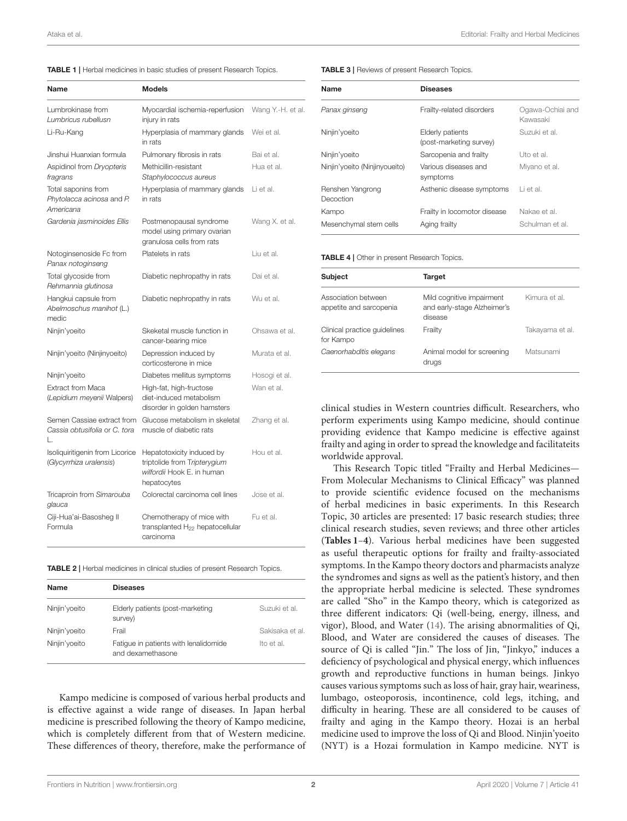<span id="page-1-0"></span>

|  |  | <b>TABLE 1</b>   Herbal medicines in basic studies of present Research Topics. |  |  |  |  |  |
|--|--|--------------------------------------------------------------------------------|--|--|--|--|--|
|--|--|--------------------------------------------------------------------------------|--|--|--|--|--|

| Name                                                              | <b>Models</b>                                                                                          |                   |
|-------------------------------------------------------------------|--------------------------------------------------------------------------------------------------------|-------------------|
| Lumbrokinase from<br>Lumbricus rubellusn                          | Myocardial ischemia-reperfusion<br>injury in rats                                                      | Wang Y.-H. et al. |
| Li-Ru-Kang                                                        | Hyperplasia of mammary glands<br>in rats                                                               | Wei et al.        |
| Jinshui Huanxian formula                                          | Pulmonary fibrosis in rats                                                                             | Bai et al.        |
| Aspidinol from Dryopteris<br>fragrans                             | Methicillin-resistant<br>Staphylococcus aureus                                                         | Hua et al.        |
| Total saponins from<br>Phytolacca acinosa and P.<br>Americana     | Hyperplasia of mammary glands<br>in rats                                                               | Li et al.         |
| Gardenia jasminoides Ellis                                        | Postmenopausal syndrome<br>model using primary ovarian<br>granulosa cells from rats                    | Wang X. et al.    |
| Notoginsenoside Fc from<br>Panax notoginseng                      | Platelets in rats                                                                                      | Liu et al.        |
| Total glycoside from<br>Rehmannia glutinosa                       | Diabetic nephropathy in rats                                                                           | Dai et al.        |
| Hangkui capsule from<br>Abelmoschus manihot (L.)<br>medic         | Diabetic nephropathy in rats                                                                           | Wu et al.         |
| Ninjin'yoeito                                                     | Skeketal muscle function in<br>cancer-bearing mice                                                     | Ohsawa et al.     |
| Ninjin'yoeito (Ninjinyoeito)                                      | Depression induced by<br>corticosterone in mice                                                        | Murata et al.     |
| Ninjin'yoeito                                                     | Diabetes mellitus symptoms                                                                             | Hosogi et al.     |
| <b>Extract from Maca</b><br>(Lepidium meyenii Walpers)            | High-fat, high-fructose<br>diet-induced metabolism<br>disorder in golden hamsters                      | Wan et al.        |
| Semen Cassiae extract from<br>Cassia obtusifolia or C, tora<br>L. | Glucose metabolism in skeletal<br>muscle of diabetic rats                                              | Zhang et al.      |
| Isoliquiritigenin from Licorice<br>(Glycyrrhiza uralensis)        | Hepatotoxicity induced by<br>triptolide from Tripterygium<br>wilfordii Hook E. in human<br>hepatocytes | Hou et al.        |
| Tricaproin from Simarouba<br>glauca                               | Colorectal carcinoma cell lines                                                                        | Jose et al.       |
| Ciji-Hua'ai-Basosheg II<br>Formula                                | Chemotherapy of mice with<br>transplanted $H_{22}$ hepatocellular<br>carcinoma                         | Fu et al.         |

TABLE 2 | Herbal medicines in clinical studies of present Research Topics.

| Name          | <b>Diseases</b>                                            |                 |
|---------------|------------------------------------------------------------|-----------------|
| Ninjin'yoeito | Elderly patients (post-marketing<br>survey)                | Suzuki et al.   |
| Ninjin'yoeito | Frail                                                      | Sakisaka et al. |
| Ninjin'yoeito | Fatigue in patients with lenalidomide<br>and dexamethasone | Ito et al.      |

Kampo medicine is composed of various herbal products and is effective against a wide range of diseases. In Japan herbal medicine is prescribed following the theory of Kampo medicine, which is completely different from that of Western medicine. These differences of theory, therefore, make the performance of TABLE 3 | Reviews of present Research Topics.

| Name                          | <b>Diseases</b>                             |                              |  |
|-------------------------------|---------------------------------------------|------------------------------|--|
| Panax ginseng                 | Frailty-related disorders                   | Ogawa-Ochiai and<br>Kawasaki |  |
| Ninjin'yoeito                 | Elderly patients<br>(post-marketing survey) | Suzuki et al.                |  |
| Ninjin'yoeito                 | Sarcopenia and frailty                      | Uto et al.                   |  |
| Ninjin'yoeito (Ninjinyoueito) | Various diseases and<br>symptoms            | Miyano et al.                |  |
| Renshen Yangrong<br>Decoction | Asthenic disease symptoms                   | Li et al.                    |  |
| Kampo                         | Frailty in locomotor disease                | Nakae et al.                 |  |
| Mesenchymal stem cells        | Aging frailty                               | Schulman et al.              |  |

<span id="page-1-1"></span>TABLE 4 | Other in present Research Topics.

| <b>Subject</b>                                 | Target                                                              |                 |
|------------------------------------------------|---------------------------------------------------------------------|-----------------|
| Association between<br>appetite and sarcopenia | Mild cognitive impairment<br>and early-stage Alzheimer's<br>disease | Kimura et al.   |
| Clinical practice quidelines<br>for Kampo      | Frailty                                                             | Takayama et al. |
| Caenorhabditis elegans                         | Animal model for screening<br>drugs                                 | Matsunami       |

clinical studies in Western countries difficult. Researchers, who perform experiments using Kampo medicine, should continue providing evidence that Kampo medicine is effective against frailty and aging in order to spread the knowledge and facilitateits worldwide approval.

This Research Topic titled "Frailty and Herbal Medicines— From Molecular Mechanisms to Clinical Efficacy" was planned to provide scientific evidence focused on the mechanisms of herbal medicines in basic experiments. In this Research Topic, 30 articles are presented: 17 basic research studies; three clinical research studies, seven reviews; and three other articles (**[Tables 1](#page-1-0)**–**[4](#page-1-1)**). Various herbal medicines have been suggested as useful therapeutic options for frailty and frailty-associated symptoms. In the Kampo theory doctors and pharmacists analyze the syndromes and signs as well as the patient's history, and then the appropriate herbal medicine is selected. These syndromes are called "Sho" in the Kampo theory, which is categorized as three different indicators: Qi (well-being, energy, illness, and vigor), Blood, and Water [\(14\)](#page-2-7). The arising abnormalities of Qi, Blood, and Water are considered the causes of diseases. The source of Qi is called "Jin." The loss of Jin, "Jinkyo," induces a deficiency of psychological and physical energy, which influences growth and reproductive functions in human beings. Jinkyo causes various symptoms such as loss of hair, gray hair, weariness, lumbago, osteoporosis, incontinence, cold legs, itching, and difficulty in hearing. These are all considered to be causes of frailty and aging in the Kampo theory. Hozai is an herbal medicine used to improve the loss of Qi and Blood. Ninjin'yoeito (NYT) is a Hozai formulation in Kampo medicine. NYT is